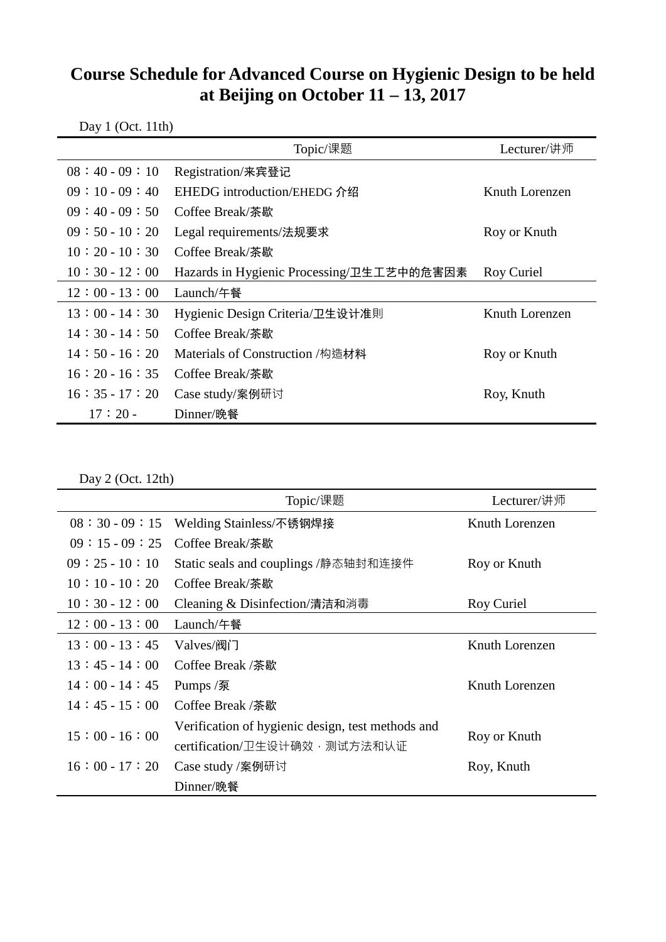## **Course Schedule for Advanced Course on Hygienic Design to be held at Beijing on October 11 – 13, 2017**

| Day $1$ (Oct. 11th) |                                           |                |  |  |
|---------------------|-------------------------------------------|----------------|--|--|
|                     | Topic/课题                                  | Lecturer/讲师    |  |  |
| $08:40-09:10$       | Registration/来宾登记                         |                |  |  |
| $09:10-09:40$       | EHEDG introduction/EHEDG 介绍               | Knuth Lorenzen |  |  |
| $09:40-09:50$       | Coffee Break/荼歇                           |                |  |  |
| $09:50-10:20$       | Legal requirements/法规要求                   | Roy or Knuth   |  |  |
| $10:20-10:30$       | Coffee Break/荼歇                           |                |  |  |
| $10:30 - 12:00$     | Hazards in Hygienic Processing/卫生工艺中的危害因素 | Roy Curiel     |  |  |
| $12:00 - 13:00$     | Launch/午餐                                 |                |  |  |
| $13:00 - 14:30$     | Hygienic Design Criteria/卫生设计准則           | Knuth Lorenzen |  |  |
| $14:30-14:50$       | Coffee Break/荼歇                           |                |  |  |
| $14:50-16:20$       | Materials of Construction /构造材料           | Roy or Knuth   |  |  |
| $16:20-16:35$       | Coffee Break/荼歇                           |                |  |  |
| $16:35-17:20$       | Case study/案例研讨                           | Roy, Knuth     |  |  |
| $17:20-$            | Dinner/晚餐                                 |                |  |  |

Day 2 (Oct. 12th)

|                 | Topic/课题                                          | Lecturer/讲师    |
|-----------------|---------------------------------------------------|----------------|
| $08:30-09:15$   | Welding Stainless/不锈钢焊接                           | Knuth Lorenzen |
| $09:15-09:25$   | Coffee Break/茶歇                                   |                |
| $09:25-10:10$   | Static seals and couplings /静态轴封和连接件              | Roy or Knuth   |
| $10:10-10:20$   | Coffee Break/荼歇                                   |                |
| $10:30 - 12:00$ | Cleaning & Disinfection/清洁和消毒                     | Roy Curiel     |
| $12:00 - 13:00$ | Launch/午餐                                         |                |
| $13:00 - 13:45$ | Valves/阀门                                         | Knuth Lorenzen |
| $13:45-14:00$   | Coffee Break /茶歇                                  |                |
| $14:00 - 14:45$ | Pumps /泵                                          | Knuth Lorenzen |
| $14:45-15:00$   | Coffee Break /荼歇                                  |                |
| $15:00 - 16:00$ | Verification of hygienic design, test methods and | Roy or Knuth   |
|                 | certification/卫生设计确效, 测试方法和认证                     |                |
| $16:00 - 17:20$ | Case study /案例研讨                                  | Roy, Knuth     |
|                 | Dinner/晚餐                                         |                |